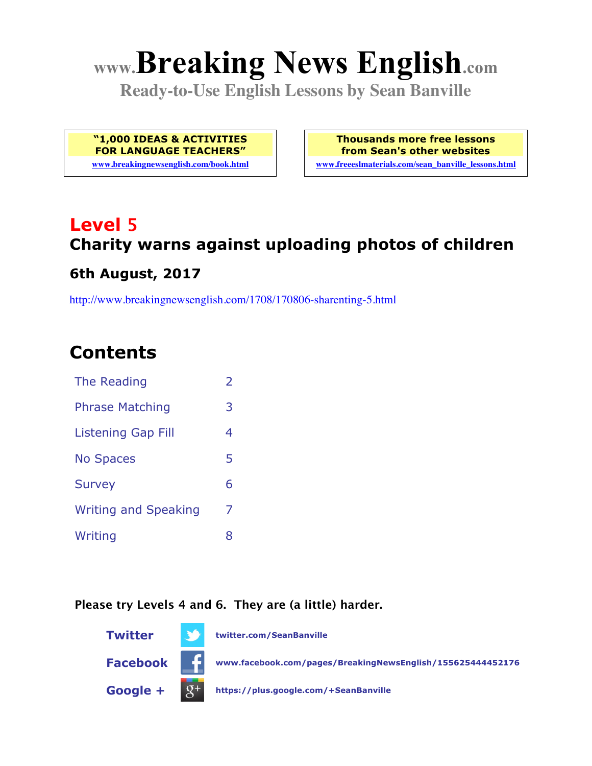# **www.Breaking News English.com**

**Ready-to-Use English Lessons by Sean Banville**

**"1,000 IDEAS & ACTIVITIES FOR LANGUAGE TEACHERS"**

**www.breakingnewsenglish.com/book.html**

**Thousands more free lessons from Sean's other websites www.freeeslmaterials.com/sean\_banville\_lessons.html**

## **Level 5 Charity warns against uploading photos of children**

#### **6th August, 2017**

http://www.breakingnewsenglish.com/1708/170806-sharenting-5.html

### **Contents**

| The Reading                 | $\overline{\phantom{a}}$ |
|-----------------------------|--------------------------|
| <b>Phrase Matching</b>      | 3                        |
| <b>Listening Gap Fill</b>   | 4                        |
| <b>No Spaces</b>            | 5                        |
| <b>Survey</b>               | 6                        |
| <b>Writing and Speaking</b> | 7                        |
| Writing                     | 8                        |

#### **Please try Levels 4 and 6. They are (a little) harder.**

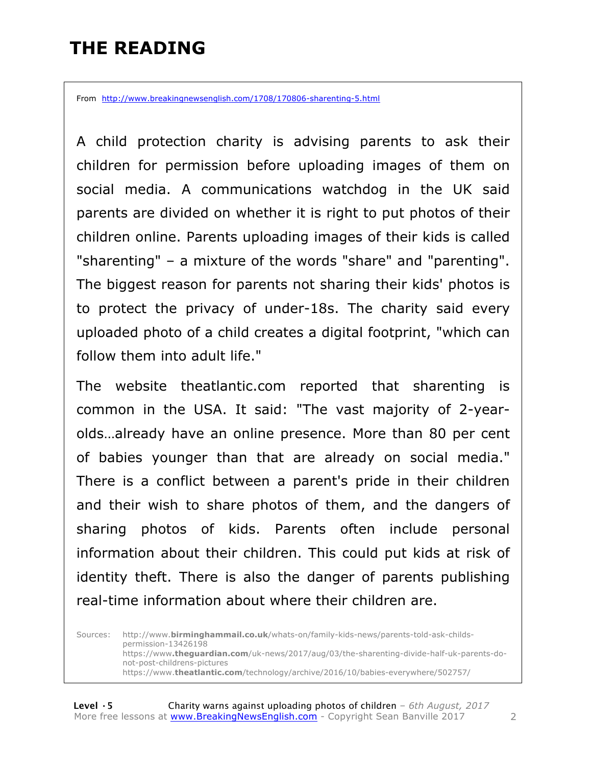### **THE READING**

From http://www.breakingnewsenglish.com/1708/170806-sharenting-5.html

A child protection charity is advising parents to ask their children for permission before uploading images of them on social media. A communications watchdog in the UK said parents are divided on whether it is right to put photos of their children online. Parents uploading images of their kids is called "sharenting" – a mixture of the words "share" and "parenting". The biggest reason for parents not sharing their kids' photos is to protect the privacy of under-18s. The charity said every uploaded photo of a child creates a digital footprint, "which can follow them into adult life."

The website theatlantic.com reported that sharenting is common in the USA. It said: "The vast majority of 2-yearolds…already have an online presence. More than 80 per cent of babies younger than that are already on social media." There is a conflict between a parent's pride in their children and their wish to share photos of them, and the dangers of sharing photos of kids. Parents often include personal information about their children. This could put kids at risk of identity theft. There is also the danger of parents publishing real-time information about where their children are.

Sources: http://www.**birminghammail.co.uk**/whats-on/family-kids-news/parents-told-ask-childspermission-13426198 https://www**.theguardian.com**/uk-news/2017/aug/03/the-sharenting-divide-half-uk-parents-donot-post-childrens-pictures https://www.**theatlantic.com**/technology/archive/2016/10/babies-everywhere/502757/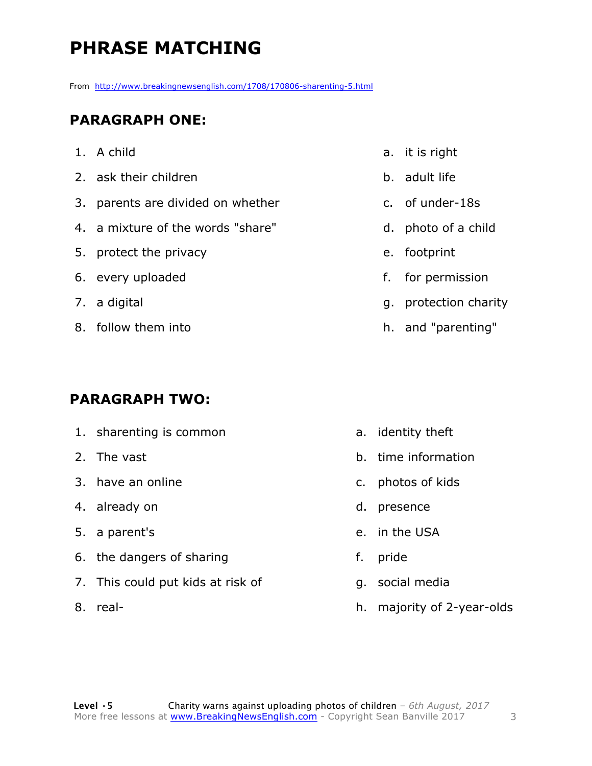### **PHRASE MATCHING**

From http://www.breakingnewsenglish.com/1708/170806-sharenting-5.html

#### **PARAGRAPH ONE:**

- 1. A child
- 2. ask their children
- 3. parents are divided on whether
- 4. a mixture of the words "share"
- 5. protect the privacy
- 6. every uploaded
- 7. a digital
- 8. follow them into

#### **PARAGRAPH TWO:**

- 1. sharenting is common
- 2. The vast
- 3. have an online
- 4. already on
- 5. a parent's
- 6. the dangers of sharing
- 7. This could put kids at risk of
- 8. real-
- a. it is right
- b. adult life
- c. of under-18s
- d. photo of a child
- e. footprint
- f. for permission
- g. protection charity
- h. and "parenting"

- a. identity theft
- b. time information
- c. photos of kids
- d. presence
- e. in the USA
- f. pride
- g. social media
- h. majority of 2-year-olds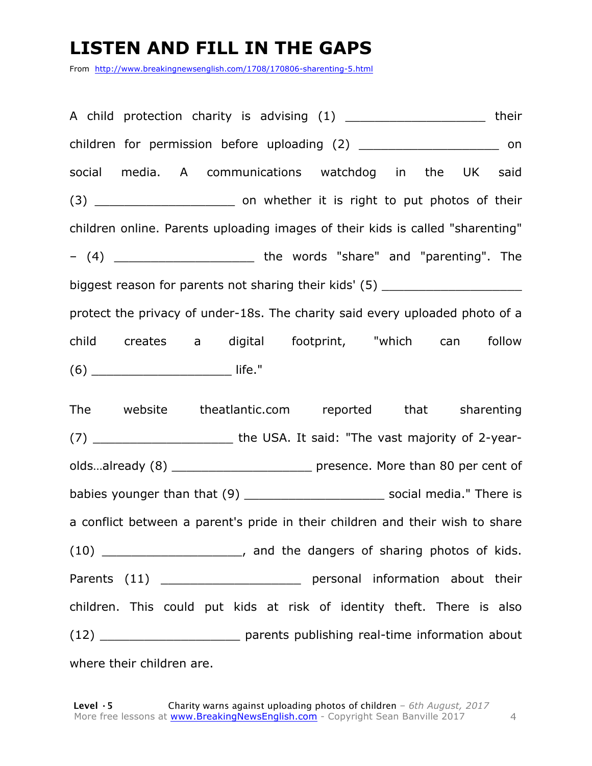### **LISTEN AND FILL IN THE GAPS**

From http://www.breakingnewsenglish.com/1708/170806-sharenting-5.html

A child protection charity is advising (1) The state of their children for permission before uploading (2) on social media. A communications watchdog in the UK said (3) **\_\_\_\_\_\_** on whether it is right to put photos of their children online. Parents uploading images of their kids is called "sharenting"  $-$  (4) \_\_\_\_\_\_\_\_\_\_\_\_\_\_\_\_\_\_\_\_\_\_\_\_\_\_ the words "share" and "parenting". The biggest reason for parents not sharing their kids' (5) \_\_\_\_\_\_\_\_\_\_\_\_\_\_\_\_\_\_\_\_\_\_\_\_\_ protect the privacy of under-18s. The charity said every uploaded photo of a child creates a digital footprint, "which can follow (6) \_\_\_\_\_\_\_\_\_\_\_\_\_\_\_\_\_\_\_ life."

The website theatlantic.com reported that sharenting (7) \_\_\_\_\_\_\_\_\_\_\_\_\_\_\_\_\_\_\_ the USA. It said: "The vast majority of 2-yearolds...already (8) **by the sensence.** More than 80 per cent of babies younger than that (9) \_\_\_\_\_\_\_\_\_\_\_\_\_\_\_\_\_\_\_ social media." There is a conflict between a parent's pride in their children and their wish to share (10) \_\_\_\_\_\_\_\_\_\_\_\_\_\_\_\_\_\_\_, and the dangers of sharing photos of kids. Parents (11) \_\_\_\_\_\_\_\_\_\_\_\_\_\_\_\_\_\_\_\_\_\_\_\_ personal information about their children. This could put kids at risk of identity theft. There is also (12) \_\_\_\_\_\_\_\_\_\_\_\_\_\_\_\_\_\_\_ parents publishing real-time information about where their children are.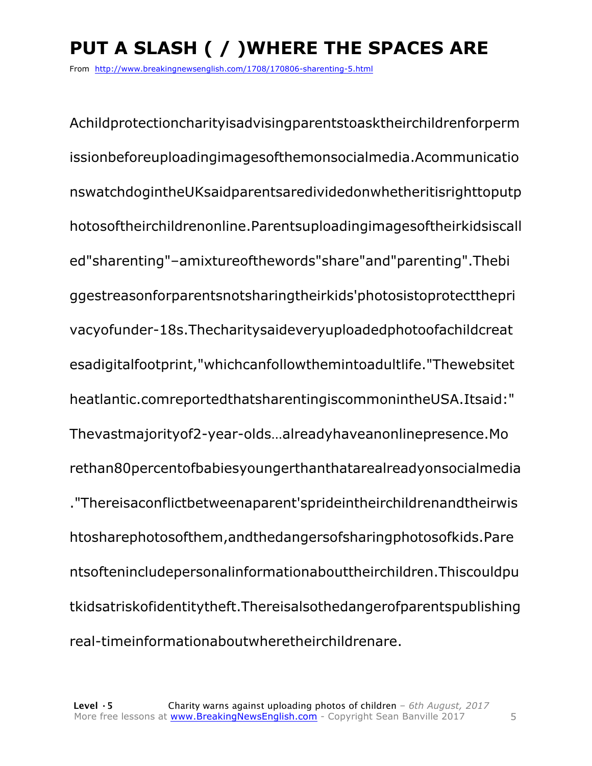### **PUT A SLASH ( / )WHERE THE SPACES ARE**

From http://www.breakingnewsenglish.com/1708/170806-sharenting-5.html

Achildprotectioncharityisadvisingparentstoasktheirchildrenforperm issionbeforeuploadingimagesofthemonsocialmedia.Acommunicatio nswatchdogintheUKsaidparentsaredividedonwhetheritisrighttoputp hotosoftheirchildrenonline.Parentsuploadingimagesoftheirkidsiscall ed"sharenting"–amixtureofthewords"share"and"parenting".Thebi ggestreasonforparentsnotsharingtheirkids'photosistoprotectthepri vacyofunder-18s.Thecharitysaideveryuploadedphotoofachildcreat esadigitalfootprint,"whichcanfollowthemintoadultlife."Thewebsitet heatlantic.comreportedthatsharentingiscommonintheUSA.Itsaid:" Thevastmajorityof2-year-olds…alreadyhaveanonlinepresence.Mo rethan80percentofbabiesyoungerthanthatarealreadyonsocialmedia ."Thereisaconflictbetweenaparent'sprideintheirchildrenandtheirwis htosharephotosofthem,andthedangersofsharingphotosofkids.Pare ntsoftenincludepersonalinformationabouttheirchildren.Thiscouldpu tkidsatriskofidentitytheft.Thereisalsothedangerofparentspublishing real-timeinformationaboutwheretheirchildrenare.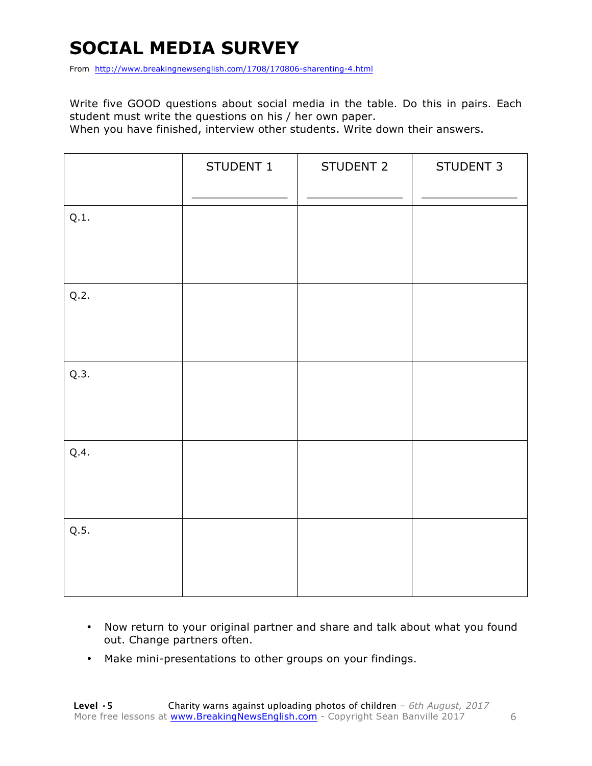### **SOCIAL MEDIA SURVEY**

From http://www.breakingnewsenglish.com/1708/170806-sharenting-4.html

Write five GOOD questions about social media in the table. Do this in pairs. Each student must write the questions on his / her own paper.

When you have finished, interview other students. Write down their answers.

|      | STUDENT 1 | STUDENT 2 | STUDENT 3 |
|------|-----------|-----------|-----------|
| Q.1. |           |           |           |
| Q.2. |           |           |           |
| Q.3. |           |           |           |
| Q.4. |           |           |           |
| Q.5. |           |           |           |

- Now return to your original partner and share and talk about what you found out. Change partners often.
- Make mini-presentations to other groups on your findings.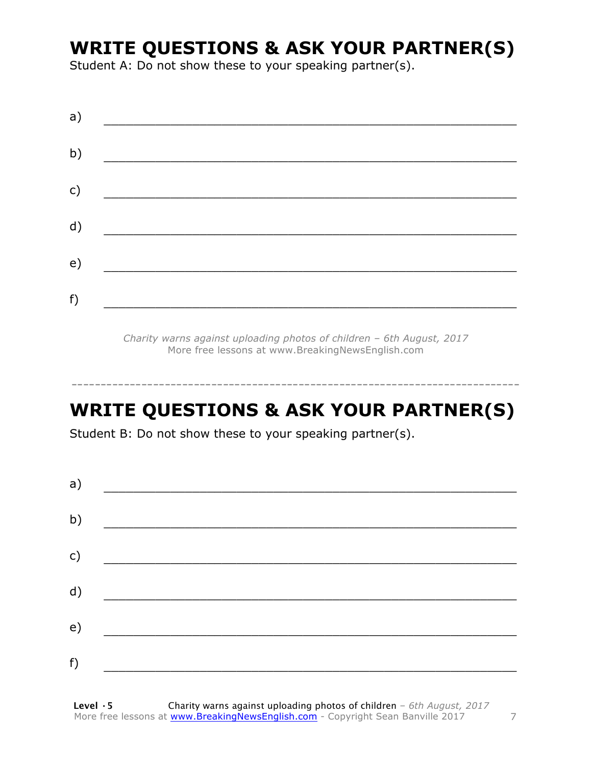### **WRITE QUESTIONS & ASK YOUR PARTNER(S)**

Student A: Do not show these to your speaking partner(s).

| a) |  |  |
|----|--|--|
| b) |  |  |
| c) |  |  |
| d) |  |  |
| e) |  |  |
| f) |  |  |
|    |  |  |

*Charity warns against uploading photos of children – 6th August, 2017* More free lessons at www.BreakingNewsEnglish.com

### **WRITE QUESTIONS & ASK YOUR PARTNER(S)**

-----------------------------------------------------------------------------

Student B: Do not show these to your speaking partner(s).

| a) |  |  |  |
|----|--|--|--|
| b) |  |  |  |
| c) |  |  |  |
| d) |  |  |  |
| e) |  |  |  |
| f) |  |  |  |
|    |  |  |  |